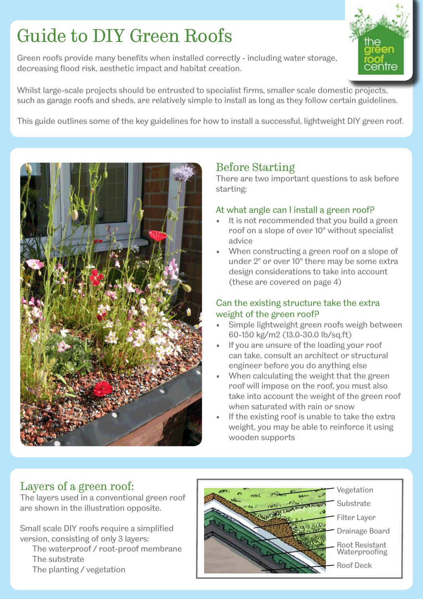# Guide to DIY Green Roofs

Green roofs provide many benefits when installed correctly - including water storage, decreasing flood risk, aesthetic impact and habitat creation.



Whilst large-scale projects should be entrusted to specialist firms, smaller scale domestic projects, such as garage roofs and sheds, are relatively simple to install as long as they follow certain guidelines.

This guide outlines some of the key guidelines for how to install a successful, lightweight DIY green roof.



# Before Starting

There are two important questions to ask before starting:

#### At what angle can I install a green roof?

- It is not recommended that you build a green roof on a slope of over 10° without specialist advice
- When constructing a green roof on a slope of under 2° or over 10° there may be some extra design considerations to take into account (these are covered on page 4)

### Can the existing structure take the extra weight of the green roof?

- Simple lightweight green roofs weigh between 60-150 kg/m2 (13.0-30.0 lb/sq.ft)
- If you are unsure of the loading your roof can take, consult an architect or structural engineer before you do anything else
- When calculating the weight that the green roof will impose on the roof, you must also take into account the weight of the green roof when saturated with rain or snow
- If the existing roof is unable to take the extra weight, you may be able to reinforce it using wooden supports

# Layers of a green roof:

The layers used in a conventional green roof are shown in the illustration opposite.

Small scale DIY roofs require a simplified version, consisting of only 3 layers:

 The waterproof / root-proof membrane The substrate

The planting / vegetation

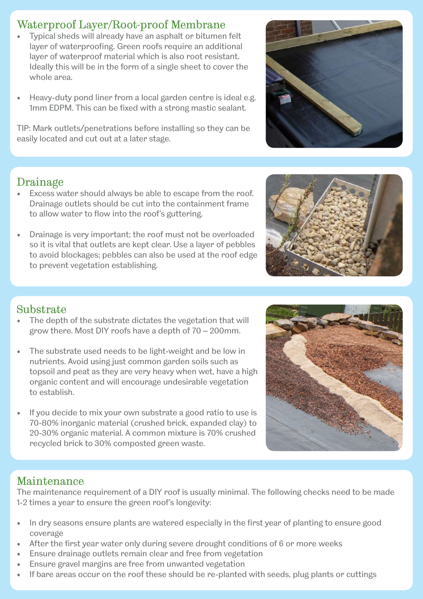## Waterproof Layer/Root-proof Membrane

- Typical sheds will already have an asphalt or bitumen felt layer of waterproofing. Green roofs require an additional layer of waterproof material which is also root resistant. Ideally this will be in the form of a single sheet to cover the whole area.
- Heavy-duty pond liner from a local garden centre is ideal e.g. 1mm EDPM. This can be fixed with a strong mastic sealant.

TIP: Mark outlets/penetrations before installing so they can be easily located and cut out at a later stage.

## Drainage

- Excess water should always be able to escape from the roof. Drainage outlets should be cut into the containment frame to allow water to flow into the roof's guttering.
- Drainage is very important; the roof must not be overloaded so it is vital that outlets are kept clear. Use a layer of pebbles to avoid blockages; pebbles can also be used at the roof edge to prevent vegetation establishing.

## Substrate

- The depth of the substrate dictates the vegetation that will grow there. Most DIY roofs have a depth of 70 – 200mm.
- The substrate used needs to be light-weight and be low in nutrients. Avoid using just common garden soils such as topsoil and peat as they are very heavy when wet, have a high organic content and will encourage undesirable vegetation to establish.
- If you decide to mix your own substrate a good ratio to use is 70-80% inorganic material (crushed brick, expanded clay) to 20-30% organic material. A common mixture is 70% crushed recycled brick to 30% composted green waste.

## Maintenance

The maintenance requirement of a DIY roof is usually minimal. The following checks need to be made 1-2 times a year to ensure the green roof's longevity:

- In dry seasons ensure plants are watered especially in the first year of planting to ensure good coverage
- After the first year water only during severe drought conditions of 6 or more weeks
- Ensure drainage outlets remain clear and free from vegetation
- Ensure gravel margins are free from unwanted vegetation
- If bare areas occur on the roof these should be re-planted with seeds, plug plants or cuttings



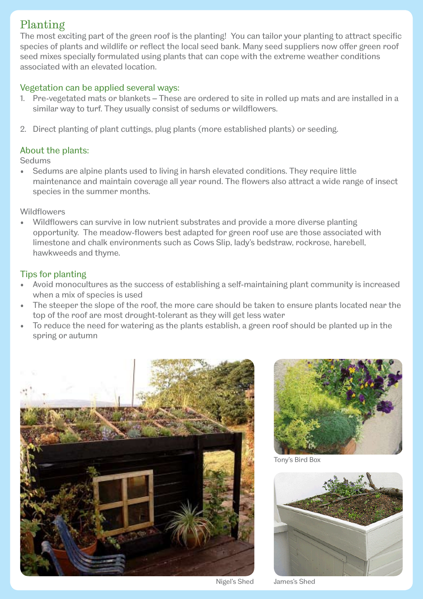# Planting

The most exciting part of the green roof is the planting! You can tailor your planting to attract specific species of plants and wildlife or reflect the local seed bank. Many seed suppliers now offer green roof seed mixes specially formulated using plants that can cope with the extreme weather conditions associated with an elevated location.

#### Vegetation can be applied several ways:

- 1. Pre-vegetated mats or blankets These are ordered to site in rolled up mats and are installed in a similar way to turf. They usually consist of sedums or wildflowers.
- 2. Direct planting of plant cuttings, plug plants (more established plants) or seeding.

#### About the plants:

**Sedums** 

• Sedums are alpine plants used to living in harsh elevated conditions. They require little maintenance and maintain coverage all year round. The flowers also attract a wide range of insect species in the summer months.

**Wildflowers** 

• Wildflowers can survive in low nutrient substrates and provide a more diverse planting opportunity. The meadow-flowers best adapted for green roof use are those associated with limestone and chalk environments such as Cows Slip, lady's bedstraw, rockrose, harebell, hawkweeds and thyme.

#### Tips for planting

- Avoid monocultures as the success of establishing a self-maintaining plant community is increased when a mix of species is used
- The steeper the slope of the roof, the more care should be taken to ensure plants located near the top of the roof are most drought-tolerant as they will get less water
- To reduce the need for watering as the plants establish, a green roof should be planted up in the spring or autumn





Tony's Bird Box



Nigel's Shed James's Shed